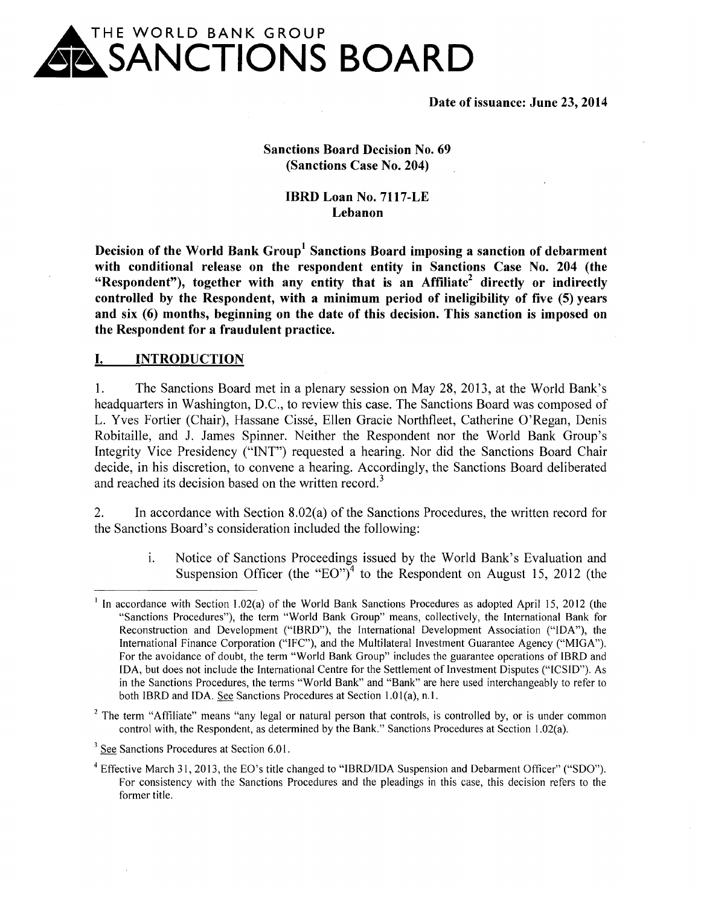

**Date of issuance: June 23, 2014** 

**Sanctions Board Decision No. 69 (Sanctions Case No. 204)** 

> **IBRD Loan No. 7117-LE Lebanon**

**Decision of the World Bank Group<sup>1</sup>Sanctions Board imposing a sanction of debarment with conditional release on the respondent entity in Sanctions Case No. 204 (the "Respondent"), together with any entity that is an Affiliate2 directly or indirectly controlled by the Respondent, with a minimum period of ineligibility of five (5) years and six (6) months, beginning on the date of this decision. This sanction is imposed on the Respondent for a fraudulent practice.** 

#### **I. INTRODUCTION**

1. The Sanctions Board met in a plenary session on May 28, 2013, at the World Bank's headquarters in Washington, D.C., to review this case. The Sanctions Board was composed of L. Yves Fortier (Chair), Hassane Cisse, Ellen Gracie Northfleet, Catherine O'Regan, Denis Robitaille, and **J.** James Spinner. Neither the Respondent nor the World Bank Group's Integrity Vice Presidency ("INT") requested a hearing. Nor did the Sanctions Board Chair decide, in his discretion, to convene a hearing. Accordingly, the Sanctions Board deliberated and reached its decision based on the written record.<sup>3</sup>

2. In accordance with Section 8.02(a) of the Sanctions Procedures, the written record for the Sanctions Board's consideration included the following:

> 1. Notice of Sanctions Proceedings issued by the World Bank's Evaluation and Suspension Officer (the "EO")<sup>4</sup> to the Respondent on August 15, 2012 (the

 $2$  The term "Affiliate" means "any legal or natural person that controls, is controlled by, or is under common control with, the Respondent, as determined by the Bank." Sanctions Procedures at Section 1.02(a).

<sup>1</sup> In accordance with Section l.02(a) of the World Bank Sanctions Procedures as adopted April 15, 2012 (the "Sanctions Procedures"), the term "World Bank Group" means, collectively, the International Bank for Reconstruction and Development ("IBRD"), the International Development Association ("IDA"), the International Finance Corporation ("IFC"), and the Multilateral Investment Guarantee Agency ("MIGA"). For the avoidance of doubt, the term "World Bank Group" includes the guarantee operations of IBRD and IDA, but does not include the International Centre for the Settlement of Investment Disputes ("ICSID"). As in the Sanctions Procedures, the terms "World Bank" and "Bank" are here used interchangeably to refer to both IBRD and IDA. See Sanctions Procedures at Section 1.01(a), n.1.

<sup>&</sup>lt;sup>3</sup> See Sanctions Procedures at Section 6.01.

<sup>&</sup>lt;sup>4</sup> Effective March 31, 2013, the EO's title changed to "IBRD/IDA Suspension and Debarment Officer" ("SDO"). For consistency with the Sanctions Procedures and the pleadings in this case, this decision refers to the former title.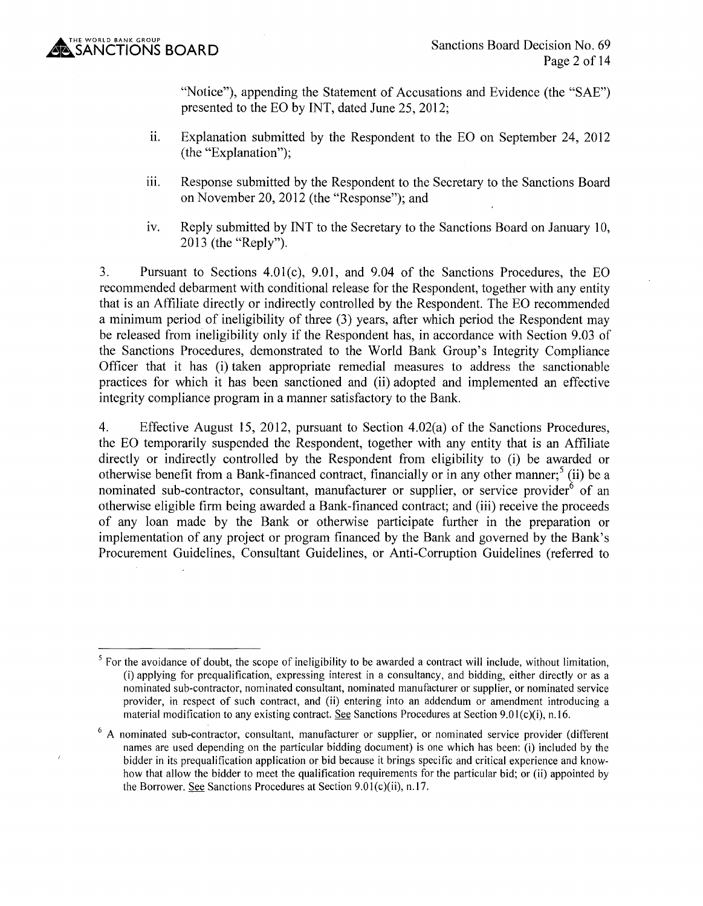"Notice"), appending the Statement of Accusations and Evidence (the "SAE") presented to the EO by INT, dated June 25, 2012;

- ii. Explanation submitted by the Respondent to the EO on September 24, 2012 (the "Explanation");
- iii. Response submitted by the Respondent to the Secretary to the Sanctions Board on November 20, 2012 (the "Response"); and
- iv. Reply submitted by INT to the Secretary to the Sanctions Board on January 10, 2013 (the "Reply").

3. Pursuant to Sections 4.0l(c), 9.01, and 9.04 of the Sanctions Procedures, the EO recommended debarment with conditional release for the Respondent, together with any entity that is an Affiliate directly or indirectly controlled by the Respondent. The EO recommended a minimum period of ineligibility of three (3) years, after which period the Respondent may be released from ineligibility only if the Respondent has, in accordance with Section 9.03 of the Sanctions Procedures, demonstrated to the World Bank Group's Integrity Compliance Officer that it has (i) taken appropriate remedial measures to address the sanctionable practices for which it has been sanctioned and (ii) adopted and implemented an effective integrity compliance program in a manner satisfactory to the Bank.

4. Effective August 15, 2012, pursuant to Section 4.02(a) of the Sanctions Procedures, the EO temporarily suspended the Respondent, together with any entity that is an Affiliate directly or indirectly controlled by the Respondent from eligibility to (i) be awarded or otherwise benefit from a Bank-financed contract, financially or in any other manner;  $\frac{5}{1}$  (ii) be a nominated sub-contractor, consultant, manufacturer or supplier, or service provider  $\delta$  of an otherwise eligible firm being awarded a Bank-financed contract; and (iii) receive the proceeds of any loan made by the Bank or otherwise participate further in the preparation or implementation of any project or program financed by the Bank and governed by the Bank's Procurement Guidelines, Consultant Guidelines, or Anti-Corruption Guidelines (referred to

<sup>&</sup>lt;sup>5</sup> For the avoidance of doubt, the scope of ineligibility to be awarded a contract will include, without limitation, (i) applying for prequalification, expressing interest in a consultancy, and bidding, either directly or as a nominated sub-contractor, nominated consultant, nominated manufacturer or supplier, or nominated service provider, in respect of such contract, and (ii) entering into an addendum or amendment introducing a material modification to any existing contract. See Sanctions Procedures at Section 9.01 $(c)(i)$ , n.16.

<sup>&</sup>lt;sup>6</sup> A nominated sub-contractor, consultant, manufacturer or supplier, or nominated service provider (different names are used depending on the particular bidding document) is one which has been: (i) included by the bidder in its prequalification application or bid because it brings specific and critical experience and knowhow that allow the bidder to meet the qualification requirements for the particular bid; or (ii) appointed by the Borrower. See Sanctions Procedures at Section  $9.01(c)(ii)$ , n.17.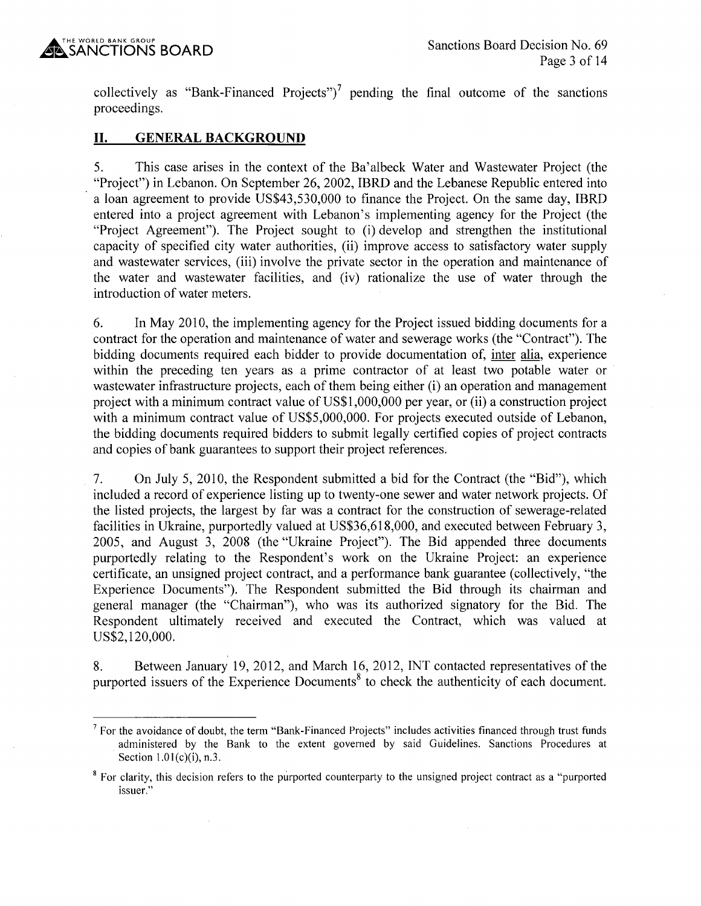collectively as "Bank-Financed Projects")<sup>7</sup> pending the final outcome of the sanctions proceedings.

### **II. GENERAL BACKGROUND**

5. This case arises in the context of the Ba'albeck Water and Wastewater Project (the "Project") in Lebanon. On September 26, 2002, IBRD and the Lebanese Republic entered into a loan agreement to provide US\$43,530,000 to finance the Project. On the same day, IBRD entered into a project agreement with Lebanon's implementing agency for the Project (the "Project Agreement"). The Project sought to (i) develop and strengthen the institutional capacity of specified city water authorities, (ii) improve access to satisfactory water supply and wastewater services, (iii) involve the private sector in the operation and maintenance of the water and wastewater facilities, and (iv) rationalize the use of water through the introduction of water meters.

6. In May 2010, the implementing agency for the Project issued bidding documents for a contract for the operation and maintenance of water and sewerage works (the "Contract"). The bidding documents required each bidder to provide documentation of, inter alia, experience within the preceding ten years as a prime contractor of at least two potable water or wastewater infrastructure projects, each of them being either (i) an operation and management project with a minimum contract value of US\$1,000,000 per year, or (ii) a construction project with a minimum contract value of US\$5,000,000. For projects executed outside of Lebanon, the bidding documents required bidders to submit legally certified copies of project contracts and copies of bank guarantees to support their project references.

7. On July 5, 2010, the Respondent submitted a bid for the Contract (the "Bid"), which included a record of experience listing up to twenty-one sewer and water network projects. Of the listed projects, the largest by far was a contract for the construction of sewerage-related facilities in Ukraine, purportedly valued at US\$36,618,000, and executed between February 3, 2005, and August 3, 2008 (the "Ukraine Project"). The Bid appended three documents purportedly relating to the Respondent's work on the Ukraine Project: an experience certificate, an unsigned project contract, and a performance bank guarantee (collectively, "the Experience Documents"). The Respondent submitted the Bid through its chairman and general manager (the "Chairman"), who was its authorized signatory for the Bid. The Respondent ultimately received and executed the Contract, which was valued at US\$2, 120,000.

8. Between January 19, 2012, and March 16, 2012, INT contacted representatives of the purported issuers of the Experience Documents<sup>8</sup> to check the authenticity of each document.

 $<sup>7</sup>$  For the avoidance of doubt, the term "Bank-Financed Projects" includes activities financed through trust funds</sup> administered by the Bank to the extent governed by said Guidelines. Sanctions Procedures at Section  $1.01(c)(i)$ , n.3.

<sup>&</sup>lt;sup>8</sup> For clarity, this decision refers to the purported counterparty to the unsigned project contract as a "purported" issuer."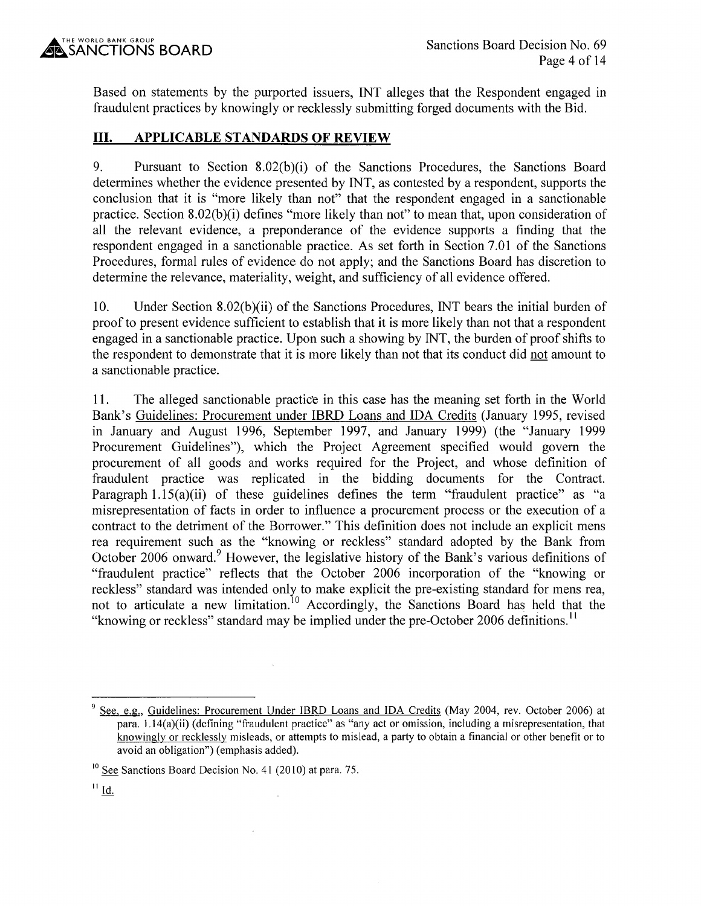Based on statements by the purported issuers, INT alleges that the Respondent engaged in fraudulent practices by knowingly or recklessly submitting forged documents with the Bid.

# **III. APPLICABLE STANDARDS OF REVIEW**

9. Pursuant to Section 8.02(b)(i) of the Sanctions Procedures, the Sanctions Board determines whether the evidence presented by INT, as contested by a respondent, supports the conclusion that it is "more likely than not" that the respondent engaged in a sanctionable practice. Section 8.02(b)(i) defines "more likely than not" to mean that, upon consideration of all the relevant evidence, a preponderance of the evidence supports a finding that the respondent engaged in a sanctionable practice. As set forth in Section 7.01 of the Sanctions Procedures, formal rules of evidence do not apply; and the Sanctions Board has discretion to determine the relevance, materiality, weight, and sufficiency of all evidence offered.

10. Under Section 8.02(b )(ii) of the Sanctions Procedures, INT bears the initial burden of proof to present evidence sufficient to establish that it is more likely than not that a respondent engaged in a sanctionable practice. Upon such a showing by INT, the burden of proof shifts to the respondent to demonstrate that it is more likely than not that its conduct did not amount to a sanctionable practice.

11. The alleged sanctionable practice in this case has the meaning set forth in the World Bank's Guidelines: Procurement under IBRD Loans and IDA Credits (January 1995, revised in January and August 1996, September 1997, and January 1999) (the "January 1999 Procurement Guidelines"), which the Project Agreement specified would govern the procurement of all goods and works required for the Project, and whose definition of fraudulent practice was replicated in the bidding documents for the Contract. Paragraph  $1.15(a)(ii)$  of these guidelines defines the term "fraudulent practice" as "a misrepresentation of facts in order to influence a procurement process or the execution of a contract to the detriment of the Borrower." This definition does not include an explicit mens rea requirement such as the "knowing or reckless" standard adopted by the Bank from October 2006 onward.<sup>9</sup> However, the legislative history of the Bank's various definitions of "fraudulent practice" reflects that the October 2006 incorporation of the "knowing or reckless" standard was intended only to make explicit the pre-existing standard for mens rea, not to articulate a new limitation.<sup>10</sup> Accordingly, the Sanctions Board has held that the "knowing or reckless" standard may be implied under the pre-October 2006 definitions.<sup>11</sup>

 $\hat{\boldsymbol{\gamma}}$ 

<sup>9</sup> See, e.g., Guidelines: Procurement Under IBRD Loans and IDA Credits (May 2004, rev. October 2006) at para. 1.14(a)(ii) (defining "fraudulent practice" as "any act or omission, including a misrepresentation, that knowingly or recklessly misleads, or attempts to mislead, a party to obtain a financial or other benefit or to avoid an obligation") (emphasis added).

 $10$  See Sanctions Board Decision No. 41 (2010) at para. 75.

 $11$  Id.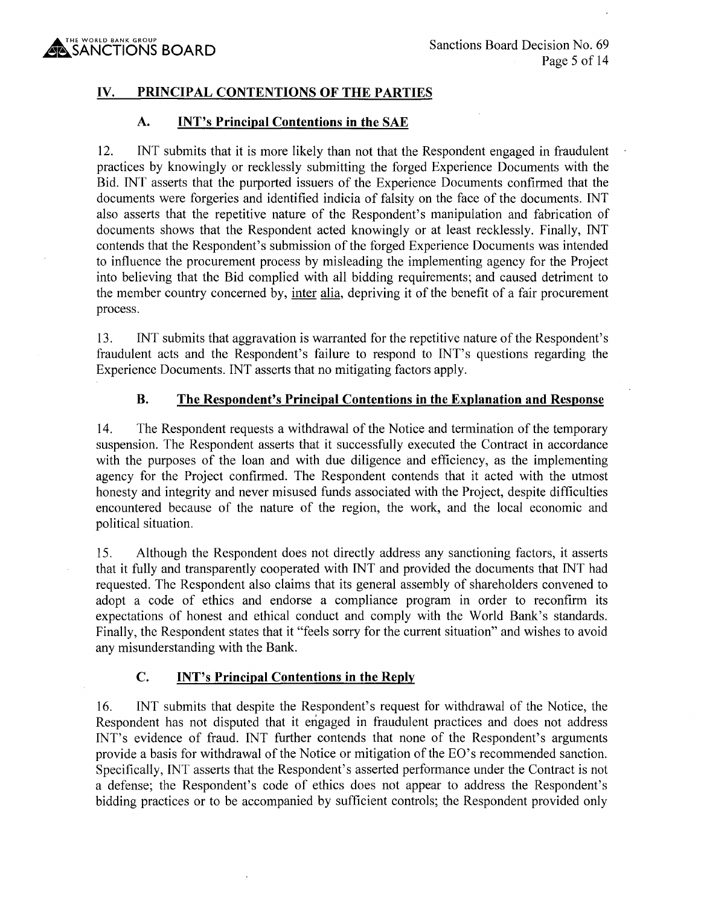### **IV. PRINCIPAL CONTENTIONS OF THE PARTIES**

#### **A. INT's Principal Contentions in the SAE**

12. INT submits that it is more likely than not that the Respondent engaged in fraudulent practices by knowingly or recklessly submitting the forged Experience Documents with the Bid. INT asserts that the purported issuers of the Experience Documents confirmed that the documents were forgeries and identified indicia of falsity on the face of the documents. INT also asserts that the repetitive nature of the Respondent's manipulation and fabrication of documents shows that the Respondent acted knowingly or at least recklessly. Finally, INT contends that the Respondent's submission of the forged Experience Documents was intended to influence the procurement process by misleading the implementing agency for the Project into believing that the Bid complied with all bidding requirements; and caused detriment to the member country concerned by, inter alia, depriving it of the benefit of a fair procurement process.

13. INT submits that aggravation is warranted for the repetitive nature of the Respondent's fraudulent acts and the Respondent's failure to respond to INT's questions regarding the Experience Documents. INT asserts that no mitigating factors apply.

#### **B. The Respondent's Principal Contentions in the Explanation and Response**

14. The Respondent requests a withdrawal of the Notice and termination of the temporary suspension. The Respondent asserts that it successfully executed the Contract in accordance with the purposes of the loan and with due diligence and efficiency, as the implementing agency for the Project confirmed. The Respondent contends that it acted with the utmost honesty and integrity and never misused funds associated with the Project, despite difficulties encountered because of the nature of the region, the work, and the local economic and political situation.

15. Although the Respondent does not directly address any sanctioning factors, it asserts that it fully and transparently cooperated with INT and provided the documents that INT had requested. The Respondent also claims that its general assembly of shareholders convened to adopt a code of ethics and endorse a compliance program in order to reconfirm its expectations of honest and ethical conduct and comply with the World Bank's standards. Finally, the Respondent states that it "feels sorry for the current situation" and wishes to avoid any misunderstanding with the Bank.

#### **C. INT's Principal Contentions in the Reply**

16. INT submits that despite the Respondent's request for withdrawal of the Notice, the Respondent has not disputed that it engaged in fraudulent practices and does not address INT's evidence of fraud. INT further contends that none of the Respondent's arguments provide a basis for withdrawal of the Notice or mitigation of the EO's recommended sanction. Specifically, INT asserts that the Respondent's asserted performance under the Contract is not a defense; the Respondent's code of ethics does not appear to address the Respondent's bidding practices or to be accompanied by sufficient controls; the Respondent provided only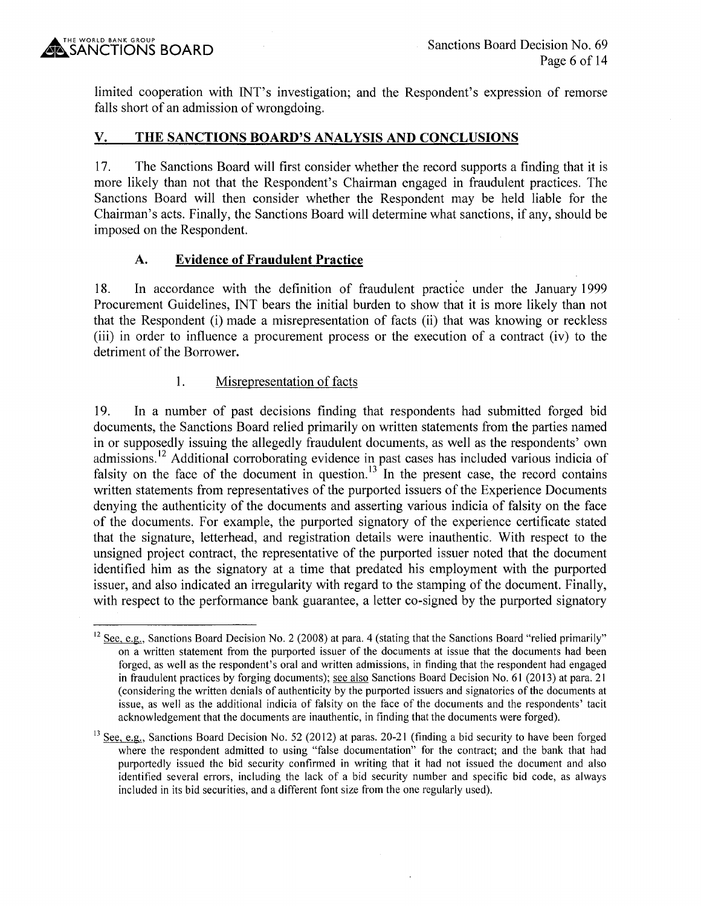limited cooperation with INT's investigation; and the Respondent's expression of remorse falls short of an admission of wrongdoing.

## **V. THE SANCTIONS BOARD'S ANALYSIS AND CONCLUSIONS**

1 7. The Sanctions Board will first consider whether the record supports a finding that it is more likely than not that the Respondent's Chairman engaged in fraudulent practices. The Sanctions Board will then consider whether the Respondent may be held liable for the Chairman's acts. Finally, the Sanctions Board will determine what sanctions, if any, should be imposed on the Respondent.

# **A. Evidence of Fraudulent Practice**

18. In accordance with the definition of fraudulent practice under the January 1999 Procurement Guidelines, INT bears the initial burden to show that it is more likely than not that the Respondent (i) made a misrepresentation of facts (ii) that was knowing or reckless (iii) in order to influence a procurement process or the execution of a contract (iv) to the detriment of the Borrower.

## 1. Misrepresentation of facts

19. In a number of past decisions finding that respondents had submitted forged bid documents, the Sanctions Board relied primarily on written statements from the parties named in or supposedly issuing the allegedly fraudulent documents, as well as the respondents' own admissions.<sup>12</sup> Additional corroborating evidence in past cases has included various indicia of falsity on the face of the document in question.<sup>13</sup> In the present case, the record contains written statements from representatives of the purported issuers of the Experience Documents denying the authenticity of the documents and asserting various indicia of falsity on the face of the documents. For example, the purported signatory of the experience certificate stated that the signature, letterhead, and registration details were inauthentic. With respect to the unsigned project contract, the representative of the purported issuer noted that the document identified him as the signatory at a time that predated his employment with the purported issuer, and also indicated an irregularity with regard to the stamping of the document. Finally, with respect to the performance bank guarantee, a letter co-signed by the purported signatory

 $12$  See, e.g., Sanctions Board Decision No. 2 (2008) at para. 4 (stating that the Sanctions Board "relied primarily" on a written statement from the purported issuer of the documents at issue that the documents had been forged, as well as the respondent's oral and written admissions, in finding that the respondent had engaged in fraudulent practices by forging documents); see also Sanctions Board Decision No. 61 (2013) at para. 21 (considering the written denials of authenticity by the purported issuers and signatories of the documents at issue, as well as the additional indicia of falsity on the face of the documents and the respondents' tacit acknowledgement that the documents are inauthentic, in finding that the documents were forged).

 $13$  See, e.g., Sanctions Board Decision No. 52 (2012) at paras. 20-21 (finding a bid security to have been forged where the respondent admitted to using "false documentation" for the contract; and the bank that had purportedly issued the bid security confirmed in writing that it had not issued the document and also identified several errors, including the lack of a bid security number and specific bid code, as always included in its bid securities, and a different font size from the one regularly used).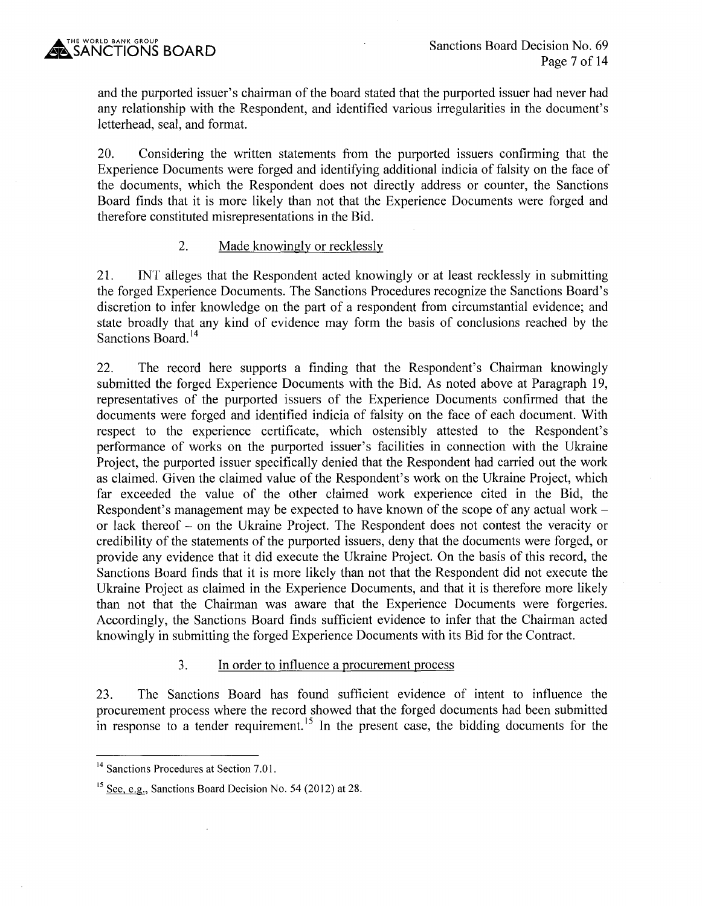and the purported issuer's chairman of the board stated that the purported issuer had never had any relationship with the Respondent, and identified various irregularities in the document's letterhead, seal, and format.

20. Considering the written statements from the purported issuers confirming that the Experience Documents were forged and identifying additional indicia of falsity on the face of the documents, which the Respondent does not directly address or counter, the Sanctions Board finds that it is more likely than not that the Experience Documents were forged and therefore constituted misrepresentations in the Bid.

## 2. Made knowingly or recklessly

21. INT alleges that the Respondent acted knowingly or at least recklessly in submitting the forged Experience Documents. The Sanctions Procedures recognize the Sanctions Board's discretion to infer knowledge on the part of a respondent from circumstantial evidence; and state broadly that any kind of evidence may form the basis of conclusions reached by the Sanctions Board.<sup>14</sup>

22. The record here supports a finding that the Respondent's Chairman knowingly submitted the forged Experience Documents with the Bid. As noted above at Paragraph 19, representatives of the purported issuers of the Experience Documents confirmed that the documents were forged and identified indicia of falsity on the face of each document. With respect to the experience certificate, which ostensibly attested to the Respondent's performance of works on the purported issuer's facilities in connection with the Ukraine Project, the purported issuer specifically denied that the Respondent had carried out the work as claimed. Given the claimed value of the Respondent's work on the Ukraine Project, which far exceeded the value of the other claimed work experience cited in the Bid, the Respondent's management may be expected to have known of the scope of any actual work – or lack thereof - on the Ukraine Project. The Respondent does not contest the veracity or credibility of the statements of the purported issuers, deny that the documents were forged, or provide any evidence that it did execute the Ukraine Project. On the basis of this record, the Sanctions Board finds that it is more likely than not that the Respondent did not execute the Ukraine Project as claimed in the Experience Documents, and that it is therefore more likely than not that the Chairman was aware that the Experience Documents were forgeries. Accordingly, the Sanctions Board finds sufficient evidence to infer that the Chairman acted knowingly in submitting the forged Experience Documents with its Bid for the Contract.

# 3. In order to influence a procurement process

23. The Sanctions Board has found sufficient evidence of intent to influence the procurement process where the record showed that the forged documents had been submitted in response to a tender requirement.<sup>15</sup> In the present case, the bidding documents for the

<sup>&</sup>lt;sup>14</sup> Sanctions Procedures at Section 7.01.

<sup>&</sup>lt;sup>15</sup> See, e.g., Sanctions Board Decision No. 54 (2012) at 28.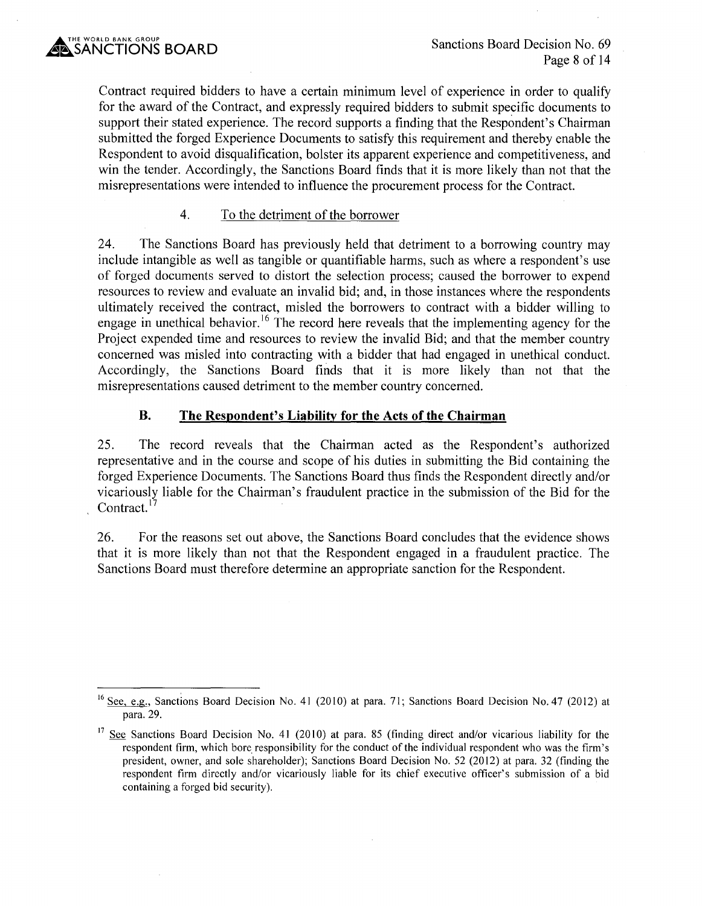Contract required bidders to have a certain minimum level of experience in order to qualify for the award of the Contract, and expressly required bidders to submit specific documents to support their stated experience. The record supports a finding that the Respondent's Chairman submitted the forged Experience Documents to satisfy this requirement and thereby enable the Respondent to avoid disqualification, bolster its apparent experience and competitiveness, and win the tender. Accordingly, the Sanctions Board finds that it is more likely than not that the misrepresentations were intended to influence the procurement process for the Contract.

## 4. To the detriment of the borrower

24. The Sanctions Board has previously held that detriment to a borrowing country may include intangible as well as tangible or quantifiable harms, such as where a respondent's use of forged documents served to distort the selection process; caused the borrower to expend resources to review and evaluate an invalid bid; and, in those instances where the respondents ultimately received the contract, misled the borrowers to contract with a bidder willing to engage in unethical behavior.<sup>16</sup> The record here reveals that the implementing agency for the Project expended time and resources to review the invalid Bid; and that the member country concerned was misled into contracting with a bidder that had engaged in unethical conduct. Accordingly, the Sanctions Board finds that it is more likely than not that the misrepresentations caused detriment to the member country concerned.

# **B. The Respondent's Liability for the Acts of the Chairman**

25. The record reveals that the Chairman acted as the Respondent's authorized representative and in the course and scope of his duties in submitting the Bid containing the forged Experience Documents. The Sanctions Board thus finds the Respondent directly and/or vicariously liable for the Chairman's fraudulent practice in the submission of the Bid for the Contract.<sup>17</sup>

26. For the reasons set out above, the Sanctions Board concludes that the evidence shows that it is more likely than not that the Respondent engaged in a fraudulent practice. The Sanctions Board must therefore determine an appropriate sanction for the Respondent.

<sup>&</sup>lt;sup>16</sup> See, e.g., Sanctions Board Decision No. 41 (2010) at para. 71; Sanctions Board Decision No. 47 (2012) at para. 29.

<sup>&</sup>lt;sup>17</sup> See Sanctions Board Decision No. 41 (2010) at para. 85 (finding direct and/or vicarious liability for the respondent firm, which bore responsibility for the conduct of the individual respondent who was the firm's president, owner, and sole shareholder); Sanctions Board Decision No. 52 (2012) at para. 32 (finding the respondent firm directly and/or vicariously liable for its chief executive officer's submission of a bid containing a forged bid security).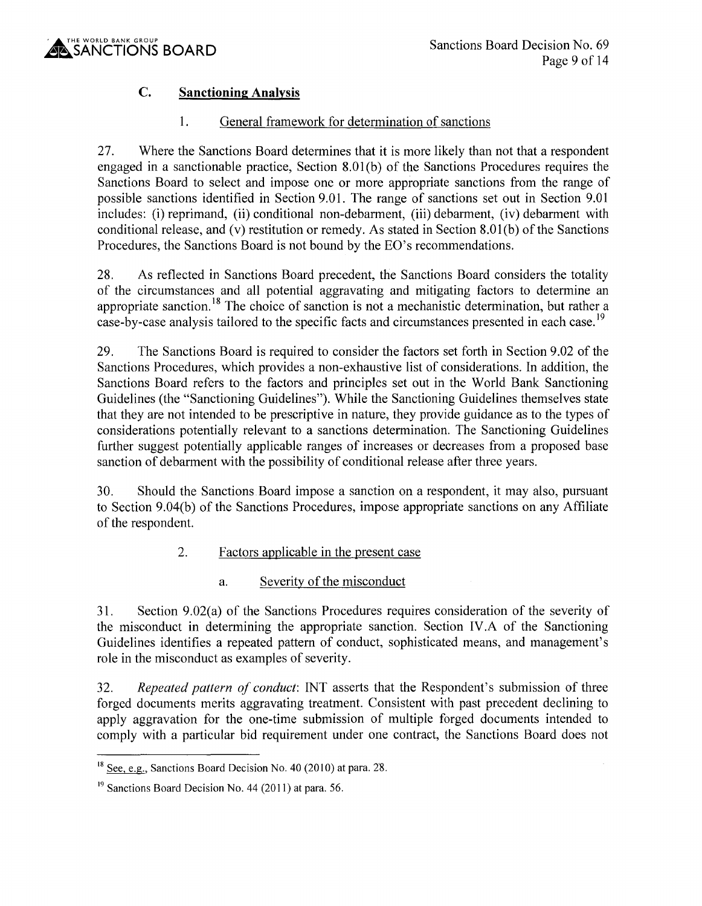

# **C. Sanctioning Analysis**

# 1. General framework for determination of sanctions

27. Where the Sanctions Board determines that it is more likely than not that a respondent engaged in a sanctionable practice, Section 8.0l(b) of the Sanctions Procedures requires the Sanctions Board to select and impose one or more appropriate sanctions from the range of possible sanctions identified in Section 9.01. The range of sanctions set out in Section 9.01 includes: (i) reprimand, (ii) conditional non-debarment, (iii) debarment, (iv) debarment with conditional release, and (v) restitution or remedy. As stated in Section 8.0l(b) of the Sanctions Procedures, the Sanctions Board is not bound by the EO's recommendations.

28. As reflected in Sanctions Board precedent, the Sanctions Board considers the totality of the circumstances and all potential aggravating and mitigating factors to determine an appropriate sanction.<sup>18</sup> The choice of sanction is not a mechanistic determination, but rather a case-by-case analysis tailored to the specific facts and circumstances presented in each case.<sup>19</sup>

29. The Sanctions Board is required to consider the factors set forth in Section 9 .02 of the Sanctions Procedures, which provides a non-exhaustive list of considerations. In addition, the Sanctions Board refers to the factors and principles set out in the World Bank Sanctioning Guidelines (the "Sanctioning Guidelines"). While the Sanctioning Guidelines themselves state that they are not intended to be prescriptive in nature, they provide guidance as to the types of considerations potentially relevant to a sanctions determination. The Sanctioning Guidelines further suggest potentially applicable ranges of increases or decreases from a proposed base sanction of debarment with the possibility of conditional release after three years.

30. Should the Sanctions Board impose a sanction on a respondent, it may also, pursuant to Section 9.04(b) of the Sanctions Procedures, impose appropriate sanctions on any Affiliate of the respondent.

# 2. Factors applicable in the present case

# a. Severity of the misconduct

31. Section 9.02(a) of the Sanctions Procedures requires consideration of the severity of the misconduct in determining the appropriate sanction. Section IV .A of the Sanctioning Guidelines identifies a repeated pattern of conduct, sophisticated means, and management's role in the misconduct as examples of severity.

32. *Repeated pattern of conduct:* INT asserts that the Respondent's submission of three forged documents merits aggravating treatment. Consistent with past precedent declining to apply aggravation for the one-time submission of multiple forged documents intended to comply with a particular bid requirement under one contract, the Sanctions Board does not

 $18$  See, e.g., Sanctions Board Decision No. 40 (2010) at para. 28.

 $19$  Sanctions Board Decision No. 44 (2011) at para. 56.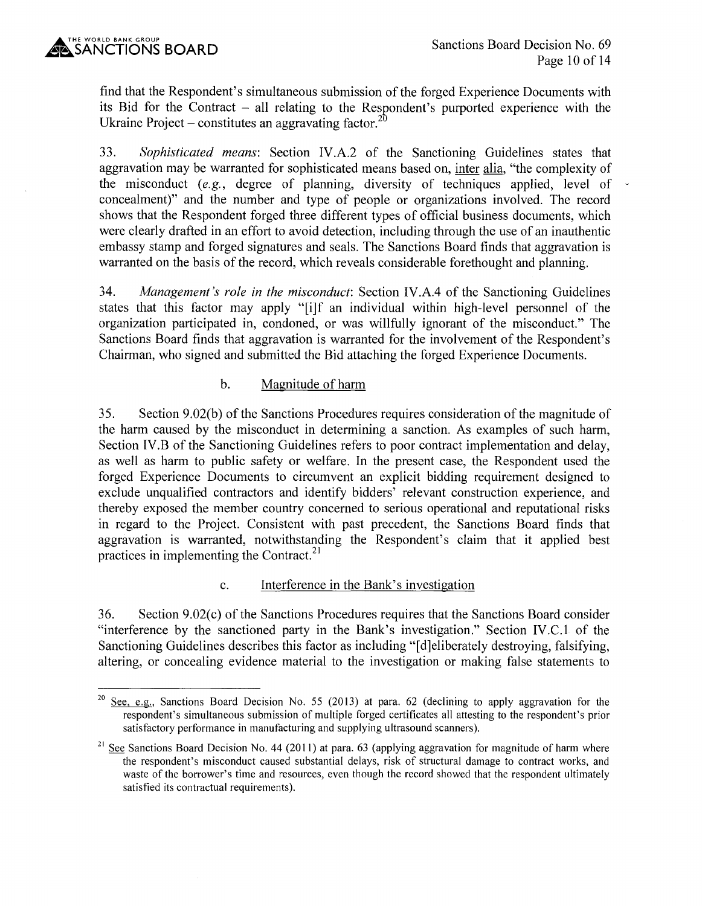find that the Respondent's simultaneous submission of the forged Experience Documents with its Bid for the Contract  $-$  all relating to the Respondent's purported experience with the Ukraine Project – constitutes an aggravating factor.<sup>2</sup>

33. *Sophisticated means:* Section IV.A.2 of the Sanctioning Guidelines states that aggravation may be warranted for sophisticated means based on, inter alia, "the complexity of the misconduct  $(e.g.,\n degree of planning, diversity of techniques applied, level of$ concealment)" and the number and type of people or organizations involved. The record shows that the Respondent forged three different types of official business documents, which were clearly drafted in an effort to avoid detection, including through the use of an inauthentic embassy stamp and forged signatures and seals. The Sanctions Board finds that aggravation is warranted on the basis of the record, which reveals considerable forethought and planning.

34. *Management's role in the misconduct:* Section IV.A.4 of the Sanctioning Guidelines states that this factor may apply "[i]f an individual within high-level personnel of the organization participated in, condoned, or was willfully ignorant of the misconduct." The Sanctions Board finds that aggravation is warranted for the involvement of the Respondent's Chairman, who signed and submitted the Bid attaching the forged Experience Documents.

#### b. Magnitude of harm

35. Section 9.02(b) of the Sanctions Procedures requires consideration of the magnitude of the harm caused by the misconduct in determining a sanction. As examples of such harm, Section IV.B of the Sanctioning Guidelines refers to poor contract implementation and delay, as well as harm to public safety or welfare. In the present case, the Respondent used the forged Experience Documents to circumvent an explicit bidding requirement designed to exclude unqualified contractors and identify bidders' relevant construction experience, and thereby exposed the member country concerned to serious operational and reputational risks in regard to the Project. Consistent with past precedent, the Sanctions Board finds that aggravation is warranted, notwithstanding the Respondent's claim that it applied best practices in implementing the Contract.<sup>21</sup>

#### c. Interference in the Bank's investigation

36. Section 9.02(c) of the Sanctions Procedures requires that the Sanctions Board consider "interference by the sanctioned party in the Bank's investigation." Section IV.C.1 of the Sanctioning Guidelines describes this factor as including "[d]eliberately destroying, falsifying, altering, or concealing evidence material to the investigation or making false statements to

<sup>&</sup>lt;sup>20</sup> See, e.g., Sanctions Board Decision No. 55 (2013) at para. 62 (declining to apply aggravation for the respondent's simultaneous submission of multiple forged certificates all attesting to the respondent's prior satisfactory performance in manufacturing and supplying ultrasound scanners).

<sup>&</sup>lt;sup>21</sup> See Sanctions Board Decision No. 44 (2011) at para. 63 (applying aggravation for magnitude of harm where the respondent's misconduct caused substantial delays, risk of structural damage to contract works, and waste of the borrower's time and resources, even though the record showed that the respondent ultimately satisfied its contractual requirements).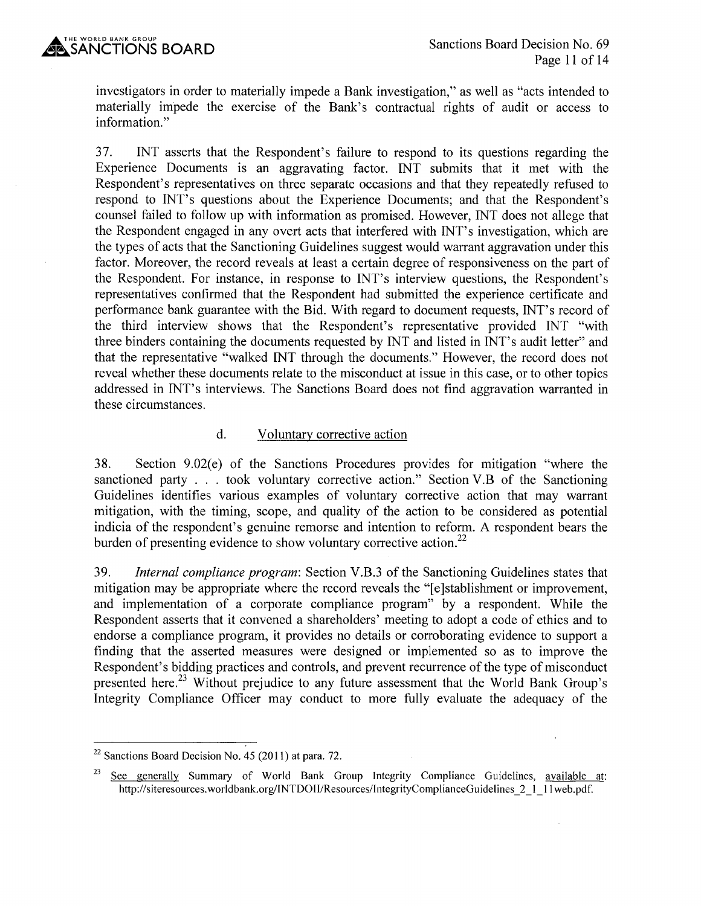investigators in order to materially impede a Bank investigation," as well as "acts intended to materially impede the exercise of the Bank's contractual rights of audit or access to information."

37. INT asserts that the Respondent's failure to respond to its questions regarding the Experience Documents is an aggravating factor. INT submits that it met with the Respondent's representatives on three separate occasions and that they repeatedly refused to respond to INT's questions about the Experience Documents; and that the Respondent's counsel failed to follow up with information as promised. However, INT does not allege that the Respondent engaged in any overt acts that interfered with INT' s investigation, which are the types of acts that the Sanctioning Guidelines suggest would warrant aggravation under this factor. Moreover, the record reveals at least a certain degree of responsiveness on the part of the Respondent. For instance, in response to INT's interview questions, the Respondent's representatives confirmed that the Respondent had submitted the experience certificate and performance bank guarantee with the Bid. With regard to document requests, INT's record of the third interview shows that the Respondent's representative provided INT "with three binders containing the documents requested by INT and listed in INT's audit letter" and that the representative "walked INT through the documents." However, the record does not reveal whether these documents relate to the misconduct at issue in this case, or to other topics addressed in INT's interviews. The Sanctions Board does not find aggravation warranted in these circumstances.

#### d. Voluntary corrective action

38. Section 9.02(e) of the Sanctions Procedures provides for mitigation "where the sanctioned party . . . took voluntary corrective action." Section V.B of the Sanctioning Guidelines identifies various examples of voluntary corrective action that may warrant mitigation, with the timing, scope, and quality of the action to be considered as potential indicia of the respondent's genuine remorse and intention to reform. A respondent bears the burden of presenting evidence to show voluntary corrective action.<sup>22</sup>

39. *Internal compliance program:* Section V.B.3 of the Sanctioning Guidelines states that mitigation may be appropriate where the record reveals the "[e]stablishment or improvement, and implementation of a corporate compliance program" by a respondent. While the Respondent asserts that it convened a shareholders' meeting to adopt a code of ethics and to endorse a compliance program, it provides no details or corroborating evidence to support a finding that the asserted measures were designed or implemented so as to improve the Respondent's bidding practices and controls, and prevent recurrence of the type of misconduct presented here.<sup>23</sup> Without prejudice to any future assessment that the World Bank Group's Integrity Compliance Officer may conduct to more fully evaluate the adequacy of the

 $22$  Sanctions Board Decision No. 45 (2011) at para. 72.

<sup>&</sup>lt;sup>23</sup> See generally Summary of World Bank Group Integrity Compliance Guidelines, available at: http://siteresources.worldbank.org/INTDOII/Resources/IntegrityComplianceGuidelines 2 1 11 web.pdf.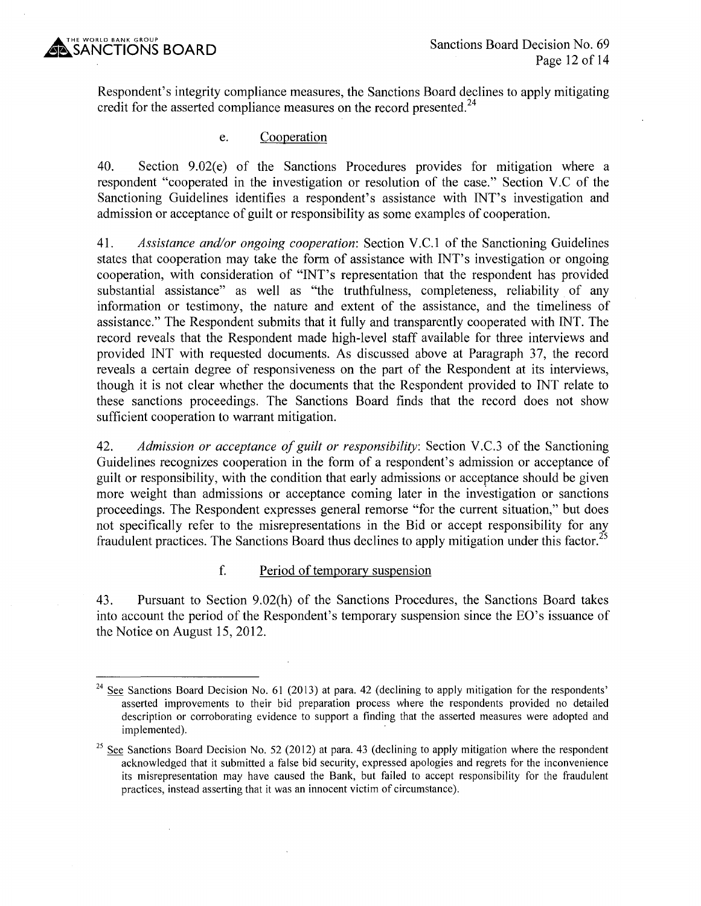Respondent's integrity compliance measures, the Sanctions Board declines to apply mitigating credit for the asserted compliance measures on the record presented.<sup>24</sup>

### e. Cooperation

40. Section 9.02(e) of the Sanctions Procedures provides for mitigation where a respondent "cooperated in the investigation or resolution of the case." Section V.C of the Sanctioning Guidelines identifies a respondent's assistance with INT's investigation and admission or acceptance of guilt or responsibility as some examples of cooperation.

41. *Assistance and/or ongoing cooperation:* Section V.C.1 of the Sanctioning Guidelines states that cooperation may take the form of assistance with INT's investigation or ongoing cooperation, with consideration of "INT's representation that the respondent has provided substantial assistance" as well as "the truthfulness, completeness, reliability of any information or testimony, the nature and extent of the assistance, and the timeliness of assistance." The Respondent submits that it fully and transparently cooperated with INT. The record reveals that the Respondent made high-level staff available for three interviews and provided INT with requested documents. As discussed above at Paragraph 37, the record reveals a certain degree of responsiveness on the part of the Respondent at its interviews, though it is not clear whether the documents that the Respondent provided to INT relate to these sanctions proceedings. The Sanctions Board finds that the record does not show sufficient cooperation to warrant mitigation.

42. *Admission or acceptance of guilt or responsibility:* Section V.C.3 of the Sanctioning Guidelines recognizes cooperation in the form of a respondent's admission or acceptance of guilt or responsibility, with the condition that early admissions or acceptance should be given more weight than admissions or acceptance coming later in the investigation or sanctions proceedings. The Respondent expresses general remorse "for the current situation," but does not specifically refer to the misrepresentations in the Bid or accept responsibility for any fraudulent practices. The Sanctions Board thus declines to apply mitigation under this factor. <sup>25</sup>

## f. Period of temporary suspension

43. Pursuant to Section 9.02(h) of the Sanctions Procedures, the Sanctions Board takes into account the period of the Respondent's temporary suspension since the EO's issuance of the Notice on August 15, 2012.

<sup>&</sup>lt;sup>24</sup> See Sanctions Board Decision No. 61 (2013) at para. 42 (declining to apply mitigation for the respondents' asserted improvements to their bid preparation process where the respondents provided no detailed description or corroborating evidence to support a finding that the asserted measures were adopted and implemented).

<sup>&</sup>lt;sup>25</sup> See Sanctions Board Decision No. 52 (2012) at para. 43 (declining to apply mitigation where the respondent acknowledged that it submitted a false bid security, expressed apologies and regrets for the inconvenience its misrepresentation may have caused the Bank, but failed to accept responsibility for the fraudulent practices, instead asserting that it was an innocent victim of circumstance).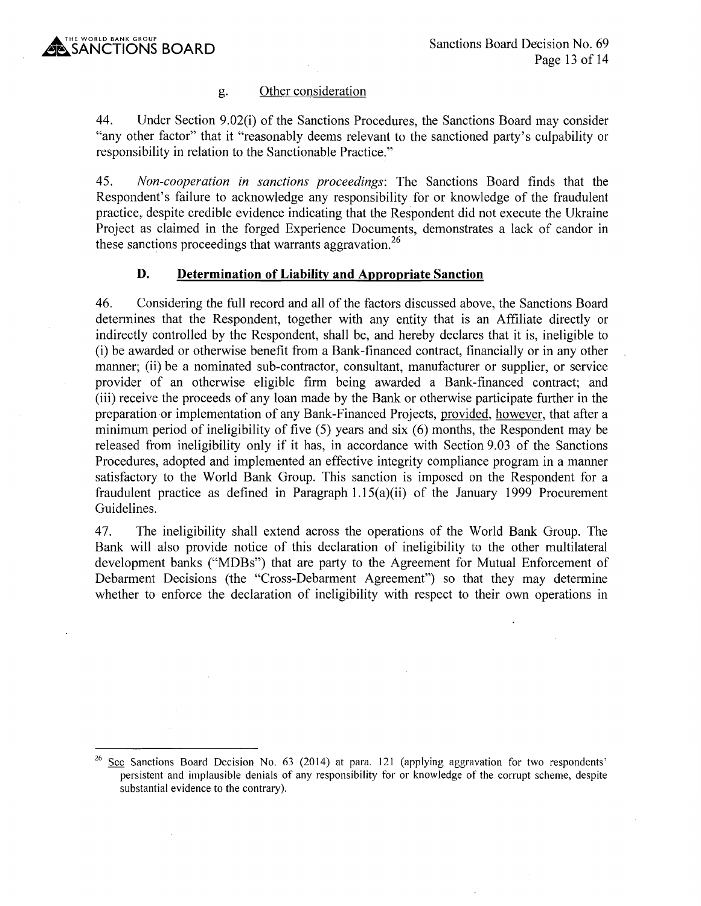## g. Other consideration

44. Under Section 9.02(i) of the Sanctions Procedures, the Sanctions Board may consider "any other factor" that it "reasonably deems relevant to the sanctioned party's culpability or responsibility in relation to the Sanctionable Practice."

45. *Non-cooperation in sanctions proceedings:* The Sanctions Board finds that the Respondent's failure to acknowledge any responsibility for or knowledge of the fraudulent practice, despite credible evidence indicating that the Respondent did not execute the Ukraine Project as claimed in the forged Experience Documents, demonstrates a lack of candor in these sanctions proceedings that warrants aggravation.<sup>26</sup>

### **D. Determination of Liability and Appropriate Sanction**

46. Considering the full record and all of the factors discussed above, the Sanctions Board determines that the Respondent, together with any entity that is an Affiliate directly or indirectly controlled by the Respondent, shall be, and hereby declares that it is, ineligible to (i) be awarded or otherwise benefit from a Bank-financed contract, financially or in any other manner; (ii) be a nominated sub-contractor, consultant, manufacturer or supplier, or service provider of an otherwise eligible firm being awarded a Bank-financed contract; and (iii) receive the proceeds of any loan made by the Bank or otherwise participate further in the preparation or implementation of any Bank-Financed Projects, provided, however, that after a minimum period of ineligibility of five (5) years and six (6) months, the Respondent may be released from ineligibility only if it has, in accordance with Section 9.03 of the Sanctions Procedures, adopted and implemented an effective integrity compliance program in a manner satisfactory to the World Bank Group. This sanction is imposed on the Respondent for a fraudulent practice as defined in Paragraph  $1.15(a)(ii)$  of the January 1999 Procurement Guidelines.

47. The ineligibility shall extend across the operations of the World Bank Group. The Bank will also provide notice of this declaration of ineligibility to the other multilateral development banks ("MDBs") that are party to the Agreement for Mutual Enforcement of Debarment Decisions (the "Cross-Debarment Agreement") so that they may determine whether to enforce the declaration of ineligibility with respect to their own operations in

See Sanctions Board Decision No. 63 (2014) at para. 121 (applying aggravation for two respondents' persistent and implausible denials of any responsibility for or knowledge of the corrupt scheme, despite substantial evidence to the contrary).